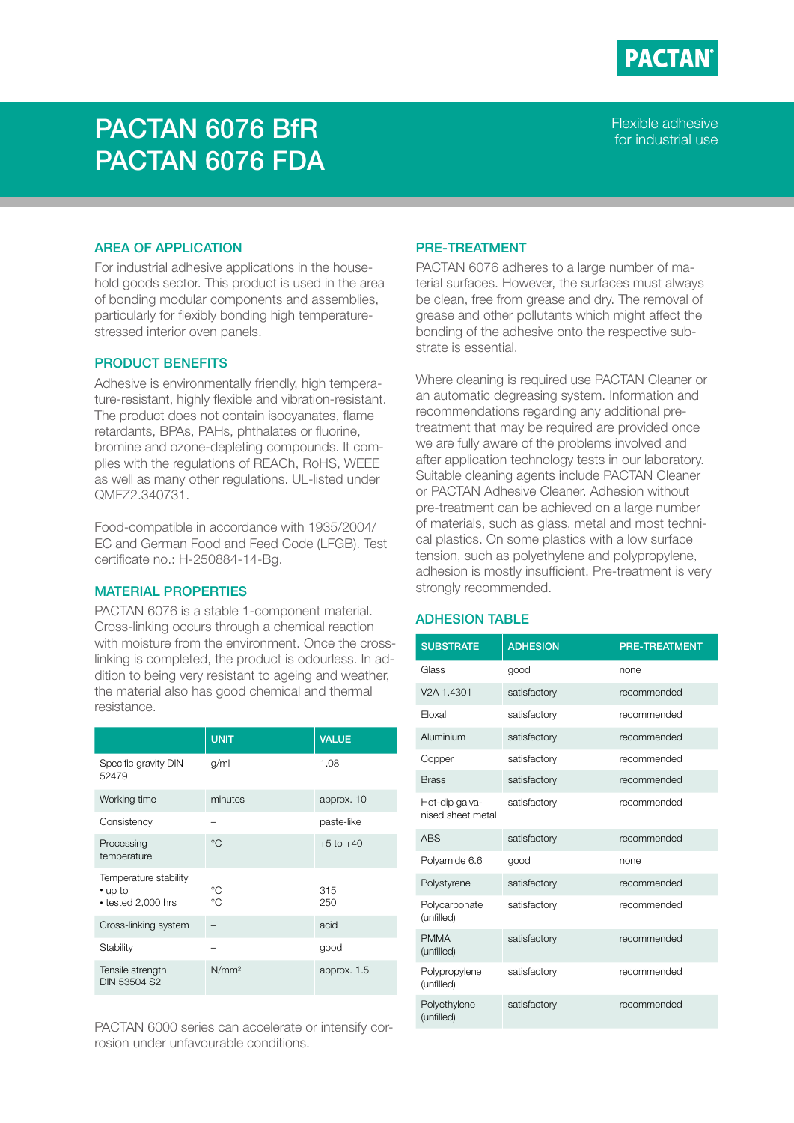

# PACTAN 6076 BfR PACTAN 6076 FDA

Flexible adhesive for industrial use

## AREA OF APPLICATION

For industrial adhesive applications in the household goods sector. This product is used in the area of bonding modular components and assemblies, particularly for flexibly bonding high temperaturestressed interior oven panels.

## PRODUCT BENEFITS

Adhesive is environmentally friendly, high temperature-resistant, highly flexible and vibration-resistant. The product does not contain isocyanates, flame retardants, BPAs, PAHs, phthalates or fluorine, bromine and ozone-depleting compounds. It complies with the regulations of REACh, RoHS, WEEE as well as many other regulations. UL-listed under QMFZ2.340731.

Food-compatible in accordance with 1935/2004/ EC and German Food and Feed Code (LFGB). Test certificate no.: H-250884-14-Bg.

# MATERIAL PROPERTIES

PACTAN 6076 is a stable 1-component material. Cross-linking occurs through a chemical reaction with moisture from the environment. Once the crosslinking is completed, the product is odourless. In addition to being very resistant to ageing and weather, the material also has good chemical and thermal resistance.

|                                                              | <b>UNIT</b>       | <b>VALUE</b>  |
|--------------------------------------------------------------|-------------------|---------------|
| Specific gravity DIN<br>52479                                | q/ml              | 1.08          |
| Working time                                                 | minutes           | approx. 10    |
| Consistency                                                  |                   | paste-like    |
| Processing<br>temperature                                    | $^{\circ}C$       | $+5$ to $+40$ |
| Temperature stability<br>• up to<br>$\cdot$ tested 2,000 hrs | °C<br>°C          | 315<br>250    |
| Cross-linking system                                         |                   | acid          |
| Stability                                                    |                   | good          |
| Tensile strength<br>DIN 53504 S2                             | N/mm <sup>2</sup> | approx. 1.5   |

PACTAN 6000 series can accelerate or intensify corrosion under unfavourable conditions.

### PRE-TREATMENT

PACTAN 6076 adheres to a large number of material surfaces. However, the surfaces must always be clean, free from grease and dry. The removal of grease and other pollutants which might affect the bonding of the adhesive onto the respective substrate is essential.

Where cleaning is required use PACTAN Cleaner or an automatic degreasing system. Information and recommendations regarding any additional pretreatment that may be required are provided once we are fully aware of the problems involved and after application technology tests in our laboratory. Suitable cleaning agents include PACTAN Cleaner or PACTAN Adhesive Cleaner. Adhesion without pre-treatment can be achieved on a large number of materials, such as glass, metal and most technical plastics. On some plastics with a low surface tension, such as polyethylene and polypropylene, adhesion is mostly insufficient. Pre-treatment is very strongly recommended.

## ADHESION TABLE

| <b>SUBSTRATE</b>                    | <b>ADHESION</b> | <b>PRE-TREATMENT</b> |
|-------------------------------------|-----------------|----------------------|
| Glass                               | good            | none                 |
| V <sub>2</sub> A 1.4301             | satisfactory    | recommended          |
| Eloxal                              | satisfactory    | recommended          |
| Aluminium                           | satisfactory    | recommended          |
| Copper                              | satisfactory    | recommended          |
| <b>Brass</b>                        | satisfactory    | recommended          |
| Hot-dip galva-<br>nised sheet metal | satisfactory    | recommended          |
| <b>ABS</b>                          | satisfactory    | recommended          |
| Polyamide 6.6                       | good            | none                 |
| Polystyrene                         | satisfactory    | recommended          |
| Polycarbonate<br>(unfilled)         | satisfactory    | recommended          |
| <b>PMMA</b><br>(unfilled)           | satisfactory    | recommended          |
| Polypropylene<br>(unfilled)         | satisfactory    | recommended          |
| Polyethylene<br>(unfilled)          | satisfactory    | recommended          |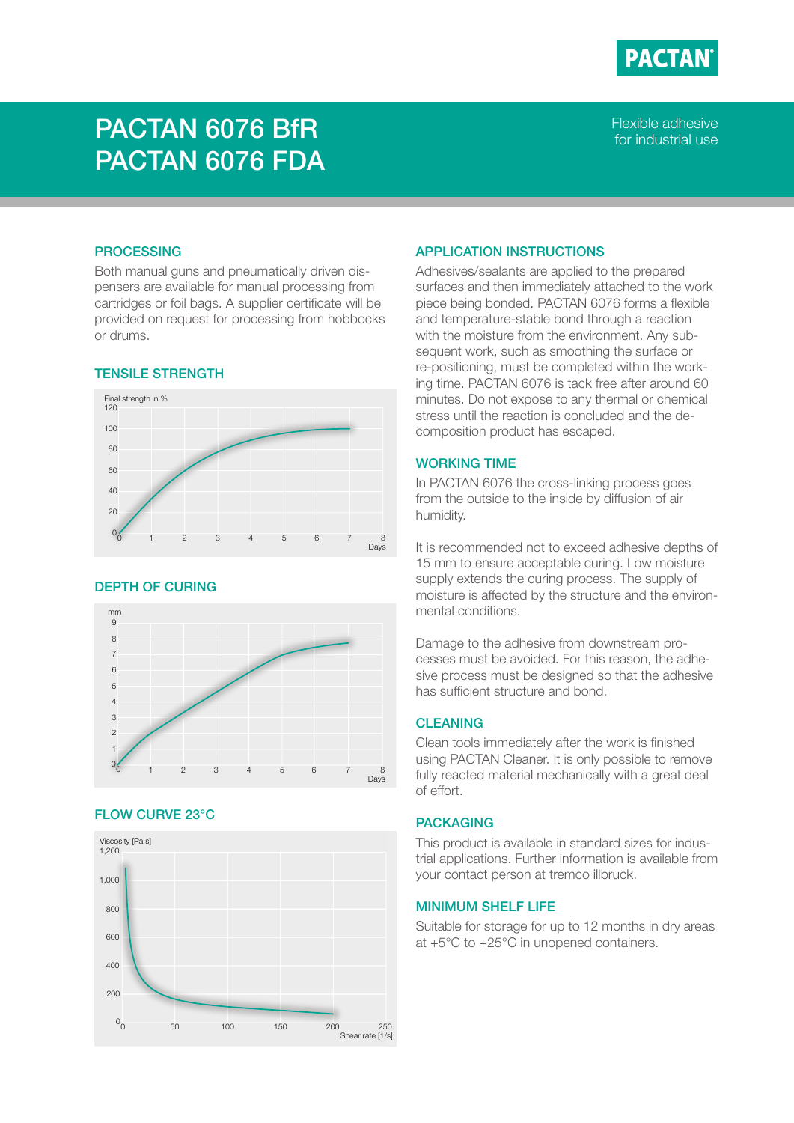

# PACTAN 6076 BfR PACTAN 6076 FDA

Flexible adhesive for industrial use

### **PROCESSING**

Both manual guns and pneumatically driven dispensers are available for manual processing from cartridges or foil bags. A supplier certificate will be provided on request for processing from hobbocks or drums.

# TENSILE STRENGTH



## DEPTH OF CURING



# FLOW CURVE 23°C



### APPLICATION INSTRUCTIONS

Adhesives/sealants are applied to the prepared surfaces and then immediately attached to the work piece being bonded. PACTAN 6076 forms a flexible and temperature-stable bond through a reaction with the moisture from the environment. Any subsequent work, such as smoothing the surface or re-positioning, must be completed within the working time. PACTAN 6076 is tack free after around 60 minutes. Do not expose to any thermal or chemical stress until the reaction is concluded and the decomposition product has escaped.

# WORKING TIME

In PACTAN 6076 the cross-linking process goes from the outside to the inside by diffusion of air humidity.

It is recommended not to exceed adhesive depths of 15 mm to ensure acceptable curing. Low moisture supply extends the curing process. The supply of moisture is affected by the structure and the environmental conditions.

Damage to the adhesive from downstream processes must be avoided. For this reason, the adhesive process must be designed so that the adhesive has sufficient structure and bond.

# **CLEANING**

Clean tools immediately after the work is finished using PACTAN Cleaner. It is only possible to remove fully reacted material mechanically with a great deal of effort.

## PACKAGING

This product is available in standard sizes for industrial applications. Further information is available from your contact person at tremco illbruck.

## MINIMUM SHELF LIFE

Suitable for storage for up to 12 months in dry areas at +5°C to +25°C in unopened containers.